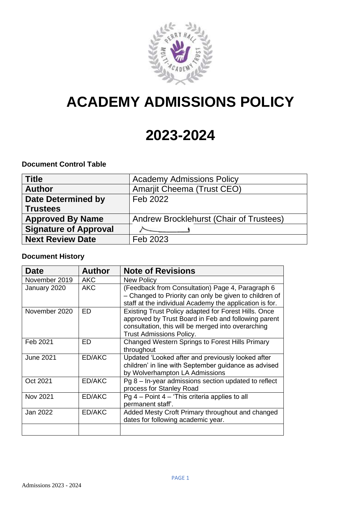

# **ACADEMY ADMISSIONS POLICY**

# **2023-2024**

## **Document Control Table**

| <b>Title</b>                 | <b>Academy Admissions Policy</b>        |
|------------------------------|-----------------------------------------|
| <b>Author</b>                | <b>Amarjit Cheema (Trust CEO)</b>       |
| <b>Date Determined by</b>    | Feb 2022                                |
| <b>Trustees</b>              |                                         |
| <b>Approved By Name</b>      | Andrew Brocklehurst (Chair of Trustees) |
| <b>Signature of Approval</b> |                                         |
| <b>Next Review Date</b>      | Feb 2023                                |

# **Document History**

| <b>Date</b>      | <b>Author</b> | <b>Note of Revisions</b>                                                                                                                                                                             |
|------------------|---------------|------------------------------------------------------------------------------------------------------------------------------------------------------------------------------------------------------|
| November 2019    | <b>AKC</b>    | <b>New Policy</b>                                                                                                                                                                                    |
| January 2020     | <b>AKC</b>    | (Feedback from Consultation) Page 4, Paragraph 6<br>- Changed to Priority can only be given to children of<br>staff at the individual Academy the application is for.                                |
| November 2020    | ED            | Existing Trust Policy adapted for Forest Hills. Once<br>approved by Trust Board in Feb and following parent<br>consultation, this will be merged into overarching<br><b>Trust Admissions Policy.</b> |
| Feb 2021         | ED            | <b>Changed Western Springs to Forest Hills Primary</b><br>throughout                                                                                                                                 |
| <b>June 2021</b> | ED/AKC        | Updated 'Looked after and previously looked after<br>children' in line with September guidance as advised<br>by Wolverhampton LA Admissions                                                          |
| Oct 2021         | ED/AKC        | $Pg 8 - In-year admissions section updated to reflect$<br>process for Stanley Road                                                                                                                   |
| <b>Nov 2021</b>  | ED/AKC        | Pg $4$ – Point $4$ – 'This criteria applies to all<br>permanent staff'.                                                                                                                              |
| Jan 2022         | ED/AKC        | Added Mesty Croft Primary throughout and changed<br>dates for following academic year.                                                                                                               |
|                  |               |                                                                                                                                                                                                      |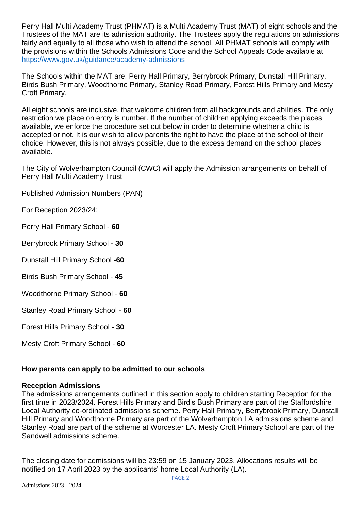Perry Hall Multi Academy Trust (PHMAT) is a Multi Academy Trust (MAT) of eight schools and the Trustees of the MAT are its admission authority. The Trustees apply the regulations on admissions fairly and equally to all those who wish to attend the school. All PHMAT schools will comply with the provisions within the Schools Admissions Code and the School Appeals Code available at <https://www.gov.uk/guidance/academy-admissions>

The Schools within the MAT are: Perry Hall Primary, Berrybrook Primary, Dunstall Hill Primary, Birds Bush Primary, Woodthorne Primary, Stanley Road Primary, Forest Hills Primary and Mesty Croft Primary.

All eight schools are inclusive, that welcome children from all backgrounds and abilities. The only restriction we place on entry is number. If the number of children applying exceeds the places available, we enforce the procedure set out below in order to determine whether a child is accepted or not. It is our wish to allow parents the right to have the place at the school of their choice. However, this is not always possible, due to the excess demand on the school places available.

The City of Wolverhampton Council (CWC) will apply the Admission arrangements on behalf of Perry Hall Multi Academy Trust

Published Admission Numbers (PAN)

For Reception 2023/24:

Perry Hall Primary School - **60**

Berrybrook Primary School - **30**

Dunstall Hill Primary School -**60**

Birds Bush Primary School - **45**

Woodthorne Primary School - **60**

Stanley Road Primary School - **60**

Forest Hills Primary School - **30**

Mesty Croft Primary School - **60**

#### **How parents can apply to be admitted to our schools**

#### **Reception Admissions**

The admissions arrangements outlined in this section apply to children starting Reception for the first time in 2023/2024. Forest Hills Primary and Bird's Bush Primary are part of the Staffordshire Local Authority co-ordinated admissions scheme. Perry Hall Primary, Berrybrook Primary, Dunstall Hill Primary and Woodthorne Primary are part of the Wolverhampton LA admissions scheme and Stanley Road are part of the scheme at Worcester LA. Mesty Croft Primary School are part of the Sandwell admissions scheme.

The closing date for admissions will be 23:59 on 15 January 2023. Allocations results will be notified on 17 April 2023 by the applicants' home Local Authority (LA).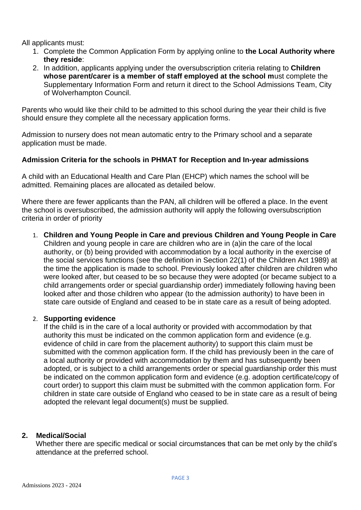All applicants must:

- 1. Complete the Common Application Form by applying online to **the Local Authority where they reside**:
- 2. In addition, applicants applying under the oversubscription criteria relating to **Children whose parent/carer is a member of staff employed at the school m**ust complete the Supplementary Information Form and return it direct to the School Admissions Team, City of Wolverhampton Council.

Parents who would like their child to be admitted to this school during the year their child is five should ensure they complete all the necessary application forms.

Admission to nursery does not mean automatic entry to the Primary school and a separate application must be made.

## **Admission Criteria for the schools in PHMAT for Reception and In-year admissions**

A child with an Educational Health and Care Plan (EHCP) which names the school will be admitted. Remaining places are allocated as detailed below.

Where there are fewer applicants than the PAN, all children will be offered a place. In the event the school is oversubscribed, the admission authority will apply the following oversubscription criteria in order of priority

1. **Children and Young People in Care and previous Children and Young People in Care** Children and young people in care are children who are in (a)in the care of the local authority, or (b) being provided with accommodation by a local authority in the exercise of the social services functions (see the definition in Section 22(1) of the Children Act 1989) at the time the application is made to school. Previously looked after children are children who were looked after, but ceased to be so because they were adopted (or became subject to a child arrangements order or special guardianship order) immediately following having been looked after and those children who appear (to the admission authority) to have been in state care outside of England and ceased to be in state care as a result of being adopted.

## 2. **Supporting evidence**

If the child is in the care of a local authority or provided with accommodation by that authority this must be indicated on the common application form and evidence (e.g. evidence of child in care from the placement authority) to support this claim must be submitted with the common application form. If the child has previously been in the care of a local authority or provided with accommodation by them and has subsequently been adopted, or is subject to a child arrangements order or special guardianship order this must be indicated on the common application form and evidence (e.g. adoption certificate/copy of court order) to support this claim must be submitted with the common application form. For children in state care outside of England who ceased to be in state care as a result of being adopted the relevant legal document(s) must be supplied.

## **2. Medical/Social**

Whether there are specific medical or social circumstances that can be met only by the child's attendance at the preferred school.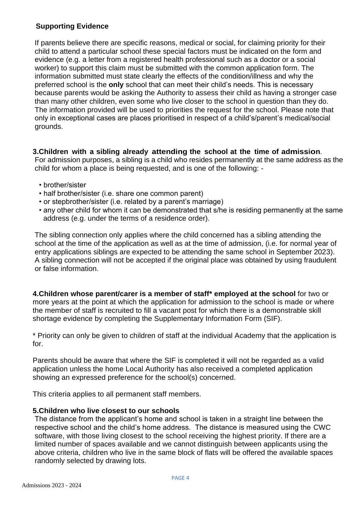## **Supporting Evidence**

If parents believe there are specific reasons, medical or social, for claiming priority for their child to attend a particular school these special factors must be indicated on the form and evidence (e.g. a letter from a registered health professional such as a doctor or a social worker) to support this claim must be submitted with the common application form. The information submitted must state clearly the effects of the condition/illness and why the preferred school is the **only** school that can meet their child's needs. This is necessary because parents would be asking the Authority to assess their child as having a stronger case than many other children, even some who live closer to the school in question than they do. The information provided will be used to priorities the request for the school. Please note that only in exceptional cases are places prioritised in respect of a child's/parent's medical/social grounds.

## **3.Children with a sibling already attending the school at the time of admission**.

For admission purposes, a sibling is a child who resides permanently at the same address as the child for whom a place is being requested, and is one of the following: -

- brother/sister
- half brother/sister (i.e. share one common parent)
- or stepbrother/sister (i.e. related by a parent's marriage)
- any other child for whom it can be demonstrated that s/he is residing permanently at the same address (e.g. under the terms of a residence order).

The sibling connection only applies where the child concerned has a sibling attending the school at the time of the application as well as at the time of admission, (i.e. for normal year of entry applications siblings are expected to be attending the same school in September 2023). A sibling connection will not be accepted if the original place was obtained by using fraudulent or false information.

**4.Children whose parent/carer is a member of staff\* employed at the school** for two or more years at the point at which the application for admission to the school is made or where the member of staff is recruited to fill a vacant post for which there is a demonstrable skill shortage evidence by completing the Supplementary Information Form (SIF).

\* Priority can only be given to children of staff at the individual Academy that the application is for.

Parents should be aware that where the SIF is completed it will not be regarded as a valid application unless the home Local Authority has also received a completed application showing an expressed preference for the school(s) concerned.

This criteria applies to all permanent staff members.

## **5.Children who live closest to our schools**

The distance from the applicant's home and school is taken in a straight line between the respective school and the child's home address. The distance is measured using the CWC software, with those living closest to the school receiving the highest priority. If there are a limited number of spaces available and we cannot distinguish between applicants using the above criteria, children who live in the same block of flats will be offered the available spaces randomly selected by drawing lots.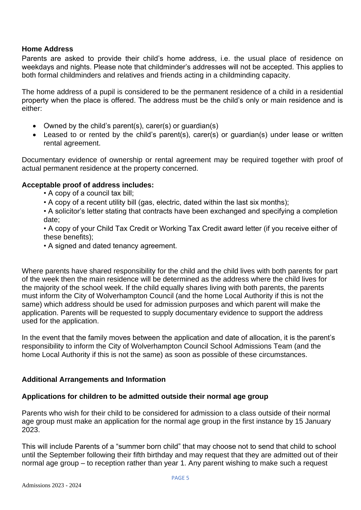## **Home Address**

Parents are asked to provide their child's home address, i.e. the usual place of residence on weekdays and nights. Please note that childminder's addresses will not be accepted. This applies to both formal childminders and relatives and friends acting in a childminding capacity.

The home address of a pupil is considered to be the permanent residence of a child in a residential property when the place is offered. The address must be the child's only or main residence and is either:

- Owned by the child's parent(s), carer(s) or guardian(s)
- Leased to or rented by the child's parent(s), carer(s) or guardian(s) under lease or written rental agreement.

Documentary evidence of ownership or rental agreement may be required together with proof of actual permanent residence at the property concerned.

#### **Acceptable proof of address includes:**

- A copy of a council tax bill;
- A copy of a recent utility bill (gas, electric, dated within the last six months);

• A solicitor's letter stating that contracts have been exchanged and specifying a completion date;

• A copy of your Child Tax Credit or Working Tax Credit award letter (if you receive either of these benefits);

• A signed and dated tenancy agreement.

Where parents have shared responsibility for the child and the child lives with both parents for part of the week then the main residence will be determined as the address where the child lives for the majority of the school week. If the child equally shares living with both parents, the parents must inform the City of Wolverhampton Council (and the home Local Authority if this is not the same) which address should be used for admission purposes and which parent will make the application. Parents will be requested to supply documentary evidence to support the address used for the application.

In the event that the family moves between the application and date of allocation, it is the parent's responsibility to inform the City of Wolverhampton Council School Admissions Team (and the home Local Authority if this is not the same) as soon as possible of these circumstances.

#### **Additional Arrangements and Information**

#### **Applications for children to be admitted outside their normal age group**

Parents who wish for their child to be considered for admission to a class outside of their normal age group must make an application for the normal age group in the first instance by 15 January 2023.

This will include Parents of a "summer born child" that may choose not to send that child to school until the September following their fifth birthday and may request that they are admitted out of their normal age group – to reception rather than year 1. Any parent wishing to make such a request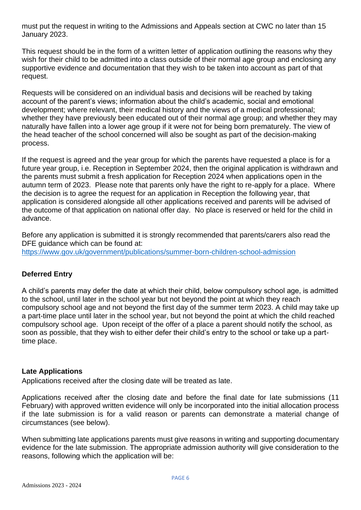must put the request in writing to the Admissions and Appeals section at CWC no later than 15 January 2023.

This request should be in the form of a written letter of application outlining the reasons why they wish for their child to be admitted into a class outside of their normal age group and enclosing any supportive evidence and documentation that they wish to be taken into account as part of that request.

Requests will be considered on an individual basis and decisions will be reached by taking account of the parent's views; information about the child's academic, social and emotional development; where relevant, their medical history and the views of a medical professional; whether they have previously been educated out of their normal age group; and whether they may naturally have fallen into a lower age group if it were not for being born prematurely. The view of the head teacher of the school concerned will also be sought as part of the decision-making process.

If the request is agreed and the year group for which the parents have requested a place is for a future year group, i.e. Reception in September 2024, then the original application is withdrawn and the parents must submit a fresh application for Reception 2024 when applications open in the autumn term of 2023. Please note that parents only have the right to re-apply for a place. Where the decision is to agree the request for an application in Reception the following year, that application is considered alongside all other applications received and parents will be advised of the outcome of that application on national offer day. No place is reserved or held for the child in advance.

Before any application is submitted it is strongly recommended that parents/carers also read the DFE guidance which can be found at: <https://www.gov.uk/government/publications/summer-born-children-school-admission>

## **Deferred Entry**

A child's parents may defer the date at which their child, below compulsory school age, is admitted to the school, until later in the school year but not beyond the point at which they reach compulsory school age and not beyond the first day of the summer term 2023. A child may take up a part-time place until later in the school year, but not beyond the point at which the child reached compulsory school age. Upon receipt of the offer of a place a parent should notify the school, as soon as possible, that they wish to either defer their child's entry to the school or take up a parttime place.

## **Late Applications**

Applications received after the closing date will be treated as late.

Applications received after the closing date and before the final date for late submissions (11 February) with approved written evidence will only be incorporated into the initial allocation process if the late submission is for a valid reason or parents can demonstrate a material change of circumstances (see below).

When submitting late applications parents must give reasons in writing and supporting documentary evidence for the late submission. The appropriate admission authority will give consideration to the reasons, following which the application will be: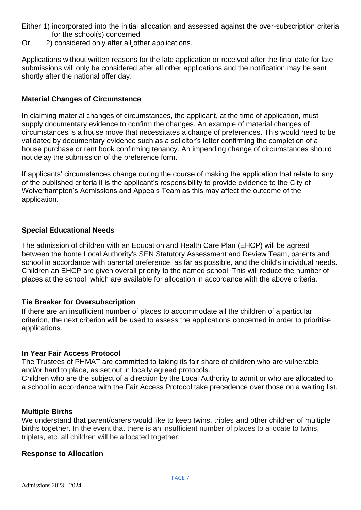- Either 1) incorporated into the initial allocation and assessed against the over-subscription criteria for the school(s) concerned
- Or 2) considered only after all other applications.

Applications without written reasons for the late application or received after the final date for late submissions will only be considered after all other applications and the notification may be sent shortly after the national offer day.

## **Material Changes of Circumstance**

In claiming material changes of circumstances, the applicant, at the time of application, must supply documentary evidence to confirm the changes. An example of material changes of circumstances is a house move that necessitates a change of preferences. This would need to be validated by documentary evidence such as a solicitor's letter confirming the completion of a house purchase or rent book confirming tenancy. An impending change of circumstances should not delay the submission of the preference form.

If applicants' circumstances change during the course of making the application that relate to any of the published criteria it is the applicant's responsibility to provide evidence to the City of Wolverhampton's Admissions and Appeals Team as this may affect the outcome of the application.

## **Special Educational Needs**

The admission of children with an Education and Health Care Plan (EHCP) will be agreed between the home Local Authority's SEN Statutory Assessment and Review Team, parents and school in accordance with parental preference, as far as possible, and the child's individual needs. Children an EHCP are given overall priority to the named school. This will reduce the number of places at the school, which are available for allocation in accordance with the above criteria.

## **Tie Breaker for Oversubscription**

If there are an insufficient number of places to accommodate all the children of a particular criterion, the next criterion will be used to assess the applications concerned in order to prioritise applications.

## **In Year Fair Access Protocol**

The Trustees of PHMAT are committed to taking its fair share of children who are vulnerable and/or hard to place, as set out in locally agreed protocols.

Children who are the subject of a direction by the Local Authority to admit or who are allocated to a school in accordance with the Fair Access Protocol take precedence over those on a waiting list.

## **Multiple Births**

We understand that parent/carers would like to keep twins, triples and other children of multiple births together. In the event that there is an insufficient number of places to allocate to twins, triplets, etc. all children will be allocated together.

## **Response to Allocation**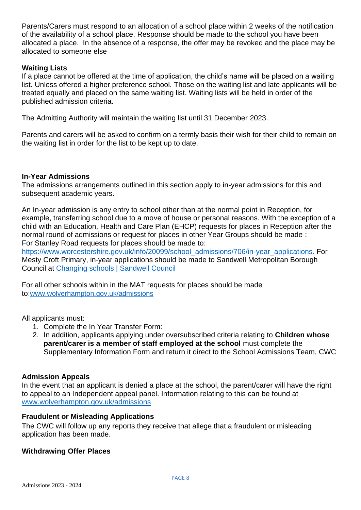Parents/Carers must respond to an allocation of a school place within 2 weeks of the notification of the availability of a school place. Response should be made to the school you have been allocated a place. In the absence of a response, the offer may be revoked and the place may be allocated to someone else

## **Waiting Lists**

If a place cannot be offered at the time of application, the child's name will be placed on a waiting list. Unless offered a higher preference school. Those on the waiting list and late applicants will be treated equally and placed on the same waiting list. Waiting lists will be held in order of the published admission criteria.

The Admitting Authority will maintain the waiting list until 31 December 2023.

Parents and carers will be asked to confirm on a termly basis their wish for their child to remain on the waiting list in order for the list to be kept up to date.

## **In-Year Admissions**

The admissions arrangements outlined in this section apply to in-year admissions for this and subsequent academic years.

An In-year admission is any entry to school other than at the normal point in Reception, for example, transferring school due to a move of house or personal reasons. With the exception of a child with an Education, Health and Care Plan (EHCP) requests for places in Reception after the normal round of admissions or request for places in other Year Groups should be made : For Stanley Road requests for places should be made to:

[https://www.worcestershire.gov.uk/info/20099/school\\_admissions/706/in-year\\_applications.](https://www.worcestershire.gov.uk/info/20099/school_admissions/706/in-year_applications) For Mesty Croft Primary, in-year applications should be made to Sandwell Metropolitan Borough Council at [Changing schools | Sandwell Council](https://www.sandwell.gov.uk/info/200303/school_admissions/2053/changing_schools)

For all other schools within in the MAT requests for places should be made to:[www.wolverhampton.gov.uk/admissions](http://www.wolverhampton.gov.uk/admissions)

All applicants must:

- 1. Complete the In Year Transfer Form:
- 2. In addition, applicants applying under oversubscribed criteria relating to **Children whose parent/carer is a member of staff employed at the school** must complete the Supplementary Information Form and return it direct to the School Admissions Team, CWC

## **Admission Appeals**

In the event that an applicant is denied a place at the school, the parent/carer will have the right to appeal to an Independent appeal panel. Information relating to this can be found at [www.wolverhampton.gov.uk/admissions](http://www.wolverhampton.gov.uk/admissions)

## **Fraudulent or Misleading Applications**

The CWC will follow up any reports they receive that allege that a fraudulent or misleading application has been made.

## **Withdrawing Offer Places**